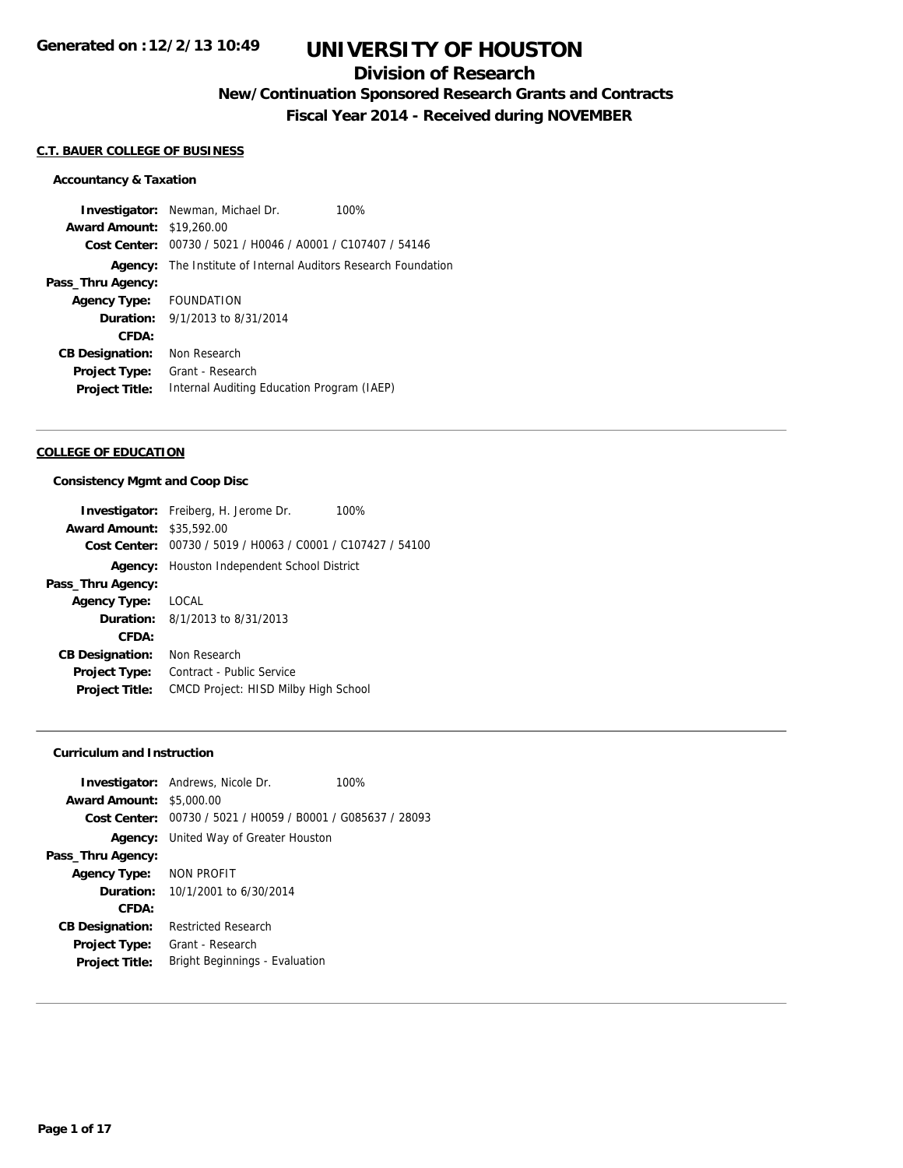# **Division of Research**

# **New/Continuation Sponsored Research Grants and Contracts**

**Fiscal Year 2014 - Received during NOVEMBER**

### **C.T. BAUER COLLEGE OF BUSINESS**

#### **Accountancy & Taxation**

**Investigator:** Newman, Michael Dr. 100% **Award Amount:** \$19,260.00 **Cost Center:** 00730 / 5021 / H0046 / A0001 / C107407 / 54146 **Agency:** The Institute of Internal Auditors Research Foundation **Pass\_Thru Agency: Agency Type:** FOUNDATION **Duration:** 9/1/2013 to 8/31/2014 **CFDA: CB Designation:** Non Research **Project Type:** Grant - Research **Project Title:** Internal Auditing Education Program (IAEP)

#### **COLLEGE OF EDUCATION**

#### **Consistency Mgmt and Coop Disc**

|                                  | <b>Investigator:</b> Freiberg, H. Jerome Dr.<br>100%        |  |  |
|----------------------------------|-------------------------------------------------------------|--|--|
| <b>Award Amount: \$35,592.00</b> |                                                             |  |  |
|                                  | Cost Center: 00730 / 5019 / H0063 / C0001 / C107427 / 54100 |  |  |
|                                  | <b>Agency:</b> Houston Independent School District          |  |  |
| Pass_Thru Agency:                |                                                             |  |  |
| Agency Type:                     | LOCAL                                                       |  |  |
|                                  | <b>Duration:</b> $8/1/2013$ to $8/31/2013$                  |  |  |
| CFDA:                            |                                                             |  |  |
| <b>CB Designation:</b>           | Non Research                                                |  |  |
| <b>Project Type:</b>             | Contract - Public Service                                   |  |  |
| <b>Project Title:</b>            | <b>CMCD Project: HISD Milby High School</b>                 |  |  |
|                                  |                                                             |  |  |

### **Curriculum and Instruction**

|                                 | <b>Investigator:</b> Andrews, Nicole Dr.                    | 100% |
|---------------------------------|-------------------------------------------------------------|------|
| <b>Award Amount: \$5,000.00</b> |                                                             |      |
|                                 | Cost Center: 00730 / 5021 / H0059 / B0001 / G085637 / 28093 |      |
|                                 | <b>Agency:</b> United Way of Greater Houston                |      |
| Pass_Thru Agency:               |                                                             |      |
| Agency Type: NON PROFIT         |                                                             |      |
|                                 | <b>Duration:</b> $10/1/2001$ to $6/30/2014$                 |      |
| CFDA:                           |                                                             |      |
| <b>CB Designation:</b>          | <b>Restricted Research</b>                                  |      |
| Project Type:                   | Grant - Research                                            |      |
| <b>Project Title:</b>           | <b>Bright Beginnings - Evaluation</b>                       |      |
|                                 |                                                             |      |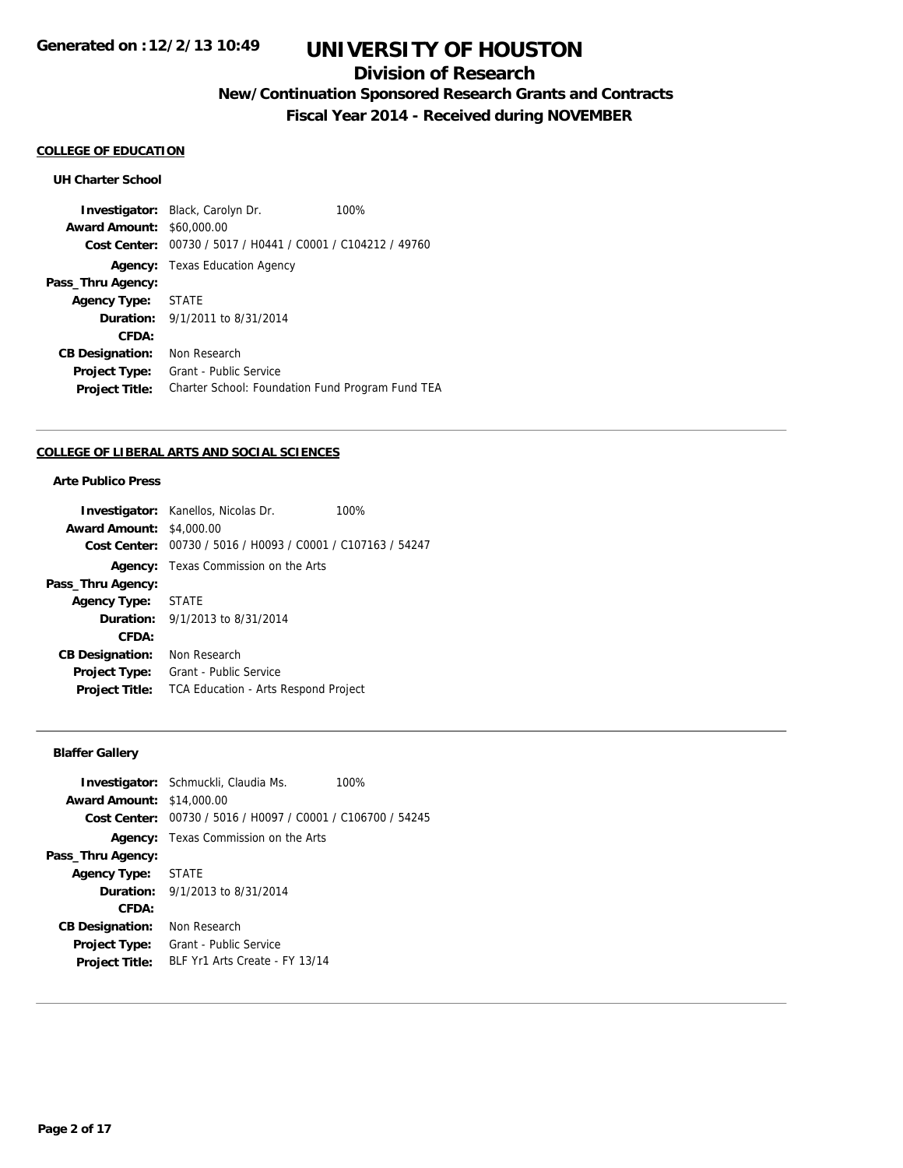## **Division of Research**

# **New/Continuation Sponsored Research Grants and Contracts**

**Fiscal Year 2014 - Received during NOVEMBER**

#### **COLLEGE OF EDUCATION**

### **UH Charter School**

**Investigator:** Black, Carolyn Dr. 100% **Award Amount:** \$60,000.00 **Cost Center:** 00730 / 5017 / H0441 / C0001 / C104212 / 49760 **Agency:** Texas Education Agency **Pass\_Thru Agency: Agency Type:** STATE **Duration:** 9/1/2011 to 8/31/2014 **CFDA: CB Designation:** Non Research **Project Type:** Grant - Public Service **Project Title:** Charter School: Foundation Fund Program Fund TEA

#### **COLLEGE OF LIBERAL ARTS AND SOCIAL SCIENCES**

## **Arte Publico Press**

|                                 | <b>Investigator:</b> Kanellos, Nicolas Dr.                  | 100% |  |
|---------------------------------|-------------------------------------------------------------|------|--|
| <b>Award Amount: \$4,000.00</b> |                                                             |      |  |
|                                 | Cost Center: 00730 / 5016 / H0093 / C0001 / C107163 / 54247 |      |  |
|                                 | <b>Agency:</b> Texas Commission on the Arts                 |      |  |
| Pass_Thru Agency:               |                                                             |      |  |
| <b>Agency Type: STATE</b>       |                                                             |      |  |
|                                 | <b>Duration:</b> $9/1/2013$ to $8/31/2014$                  |      |  |
| CFDA:                           |                                                             |      |  |
| <b>CB Designation:</b>          | Non Research                                                |      |  |
| <b>Project Type:</b>            | Grant - Public Service                                      |      |  |
| <b>Project Title:</b>           | TCA Education - Arts Respond Project                        |      |  |
|                                 |                                                             |      |  |

## **Blaffer Gallery**

|                                  | <b>Investigator:</b> Schmuckli, Claudia Ms.                 | 100% |
|----------------------------------|-------------------------------------------------------------|------|
| <b>Award Amount: \$14,000.00</b> |                                                             |      |
|                                  | Cost Center: 00730 / 5016 / H0097 / C0001 / C106700 / 54245 |      |
|                                  | <b>Agency:</b> Texas Commission on the Arts                 |      |
| Pass_Thru Agency:                |                                                             |      |
| Agency Type: STATE               |                                                             |      |
|                                  | <b>Duration:</b> 9/1/2013 to 8/31/2014                      |      |
| CFDA:                            |                                                             |      |
| <b>CB Designation:</b>           | Non Research                                                |      |
| <b>Project Type:</b>             | Grant - Public Service                                      |      |
| <b>Project Title:</b>            | BLF Yr1 Arts Create - FY 13/14                              |      |
|                                  |                                                             |      |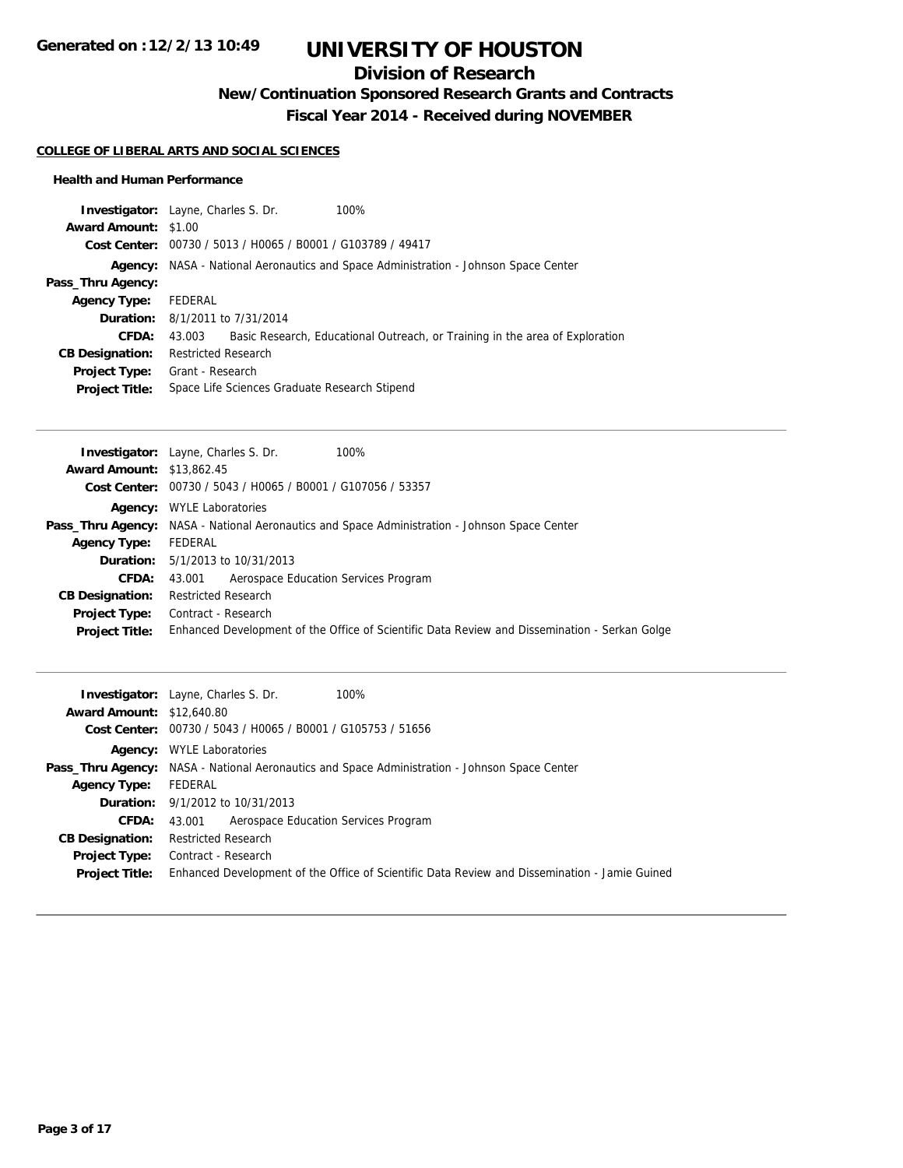# **Division of Research**

**New/Continuation Sponsored Research Grants and Contracts**

**Fiscal Year 2014 - Received during NOVEMBER**

### **COLLEGE OF LIBERAL ARTS AND SOCIAL SCIENCES**

### **Health and Human Performance**

| <b>Investigator:</b> Layne, Charles S. Dr. |                            |                                                             | 100%                                                                                       |
|--------------------------------------------|----------------------------|-------------------------------------------------------------|--------------------------------------------------------------------------------------------|
| <b>Award Amount: \$1.00</b>                |                            |                                                             |                                                                                            |
|                                            |                            | Cost Center: 00730 / 5013 / H0065 / B0001 / G103789 / 49417 |                                                                                            |
|                                            |                            |                                                             | <b>Agency:</b> NASA - National Aeronautics and Space Administration - Johnson Space Center |
| Pass_Thru Agency:                          |                            |                                                             |                                                                                            |
| <b>Agency Type:</b>                        | FEDERAL                    |                                                             |                                                                                            |
| <b>Duration:</b> 8/1/2011 to 7/31/2014     |                            |                                                             |                                                                                            |
| CFDA:                                      | 43.003                     |                                                             | Basic Research, Educational Outreach, or Training in the area of Exploration               |
| <b>CB Designation:</b>                     | <b>Restricted Research</b> |                                                             |                                                                                            |
| <b>Project Type:</b>                       | Grant - Research           |                                                             |                                                                                            |
| <b>Project Title:</b>                      |                            | Space Life Sciences Graduate Research Stipend               |                                                                                            |

| <b>Award Amount: \$13,862.45</b>                                                                                       |  |
|------------------------------------------------------------------------------------------------------------------------|--|
|                                                                                                                        |  |
| Cost Center: 00730 / 5043 / H0065 / B0001 / G107056 / 53357                                                            |  |
| <b>WYLE Laboratories</b><br>Agency:                                                                                    |  |
| <b>Pass_Thru Agency:</b> NASA - National Aeronautics and Space Administration - Johnson Space Center                   |  |
| FEDERAL<br><b>Agency Type:</b>                                                                                         |  |
| <b>Duration:</b> 5/1/2013 to 10/31/2013                                                                                |  |
| Aerospace Education Services Program<br><b>CFDA:</b><br>43.001                                                         |  |
| <b>Restricted Research</b><br><b>CB Designation:</b>                                                                   |  |
| Contract - Research<br>Project Type:                                                                                   |  |
| Enhanced Development of the Office of Scientific Data Review and Dissemination - Serkan Golge<br><b>Project Title:</b> |  |

|                                  | 100%<br><b>Investigator:</b> Layne, Charles S. Dr.                                                   |
|----------------------------------|------------------------------------------------------------------------------------------------------|
| <b>Award Amount: \$12,640.80</b> |                                                                                                      |
|                                  | Cost Center: 00730 / 5043 / H0065 / B0001 / G105753 / 51656                                          |
|                                  | <b>Agency:</b> WYLE Laboratories                                                                     |
|                                  | <b>Pass_Thru Agency:</b> NASA - National Aeronautics and Space Administration - Johnson Space Center |
| <b>Agency Type:</b>              | FEDERAL                                                                                              |
|                                  | <b>Duration:</b> 9/1/2012 to 10/31/2013                                                              |
| <b>CFDA:</b>                     | 43.001 Aerospace Education Services Program                                                          |
| <b>CB Designation:</b>           | <b>Restricted Research</b>                                                                           |
| Project Type:                    | Contract - Research                                                                                  |
| <b>Project Title:</b>            | Enhanced Development of the Office of Scientific Data Review and Dissemination - Jamie Guined        |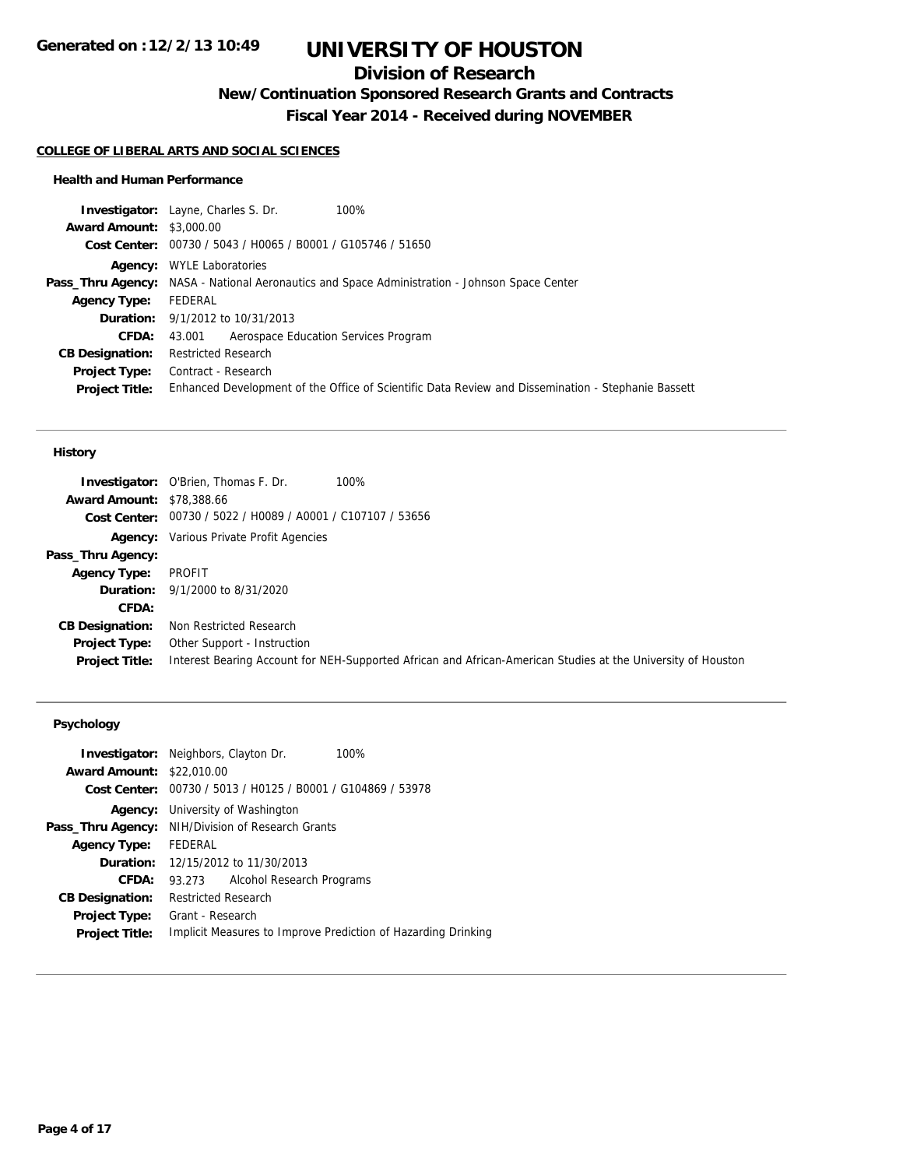# **Division of Research**

**New/Continuation Sponsored Research Grants and Contracts**

**Fiscal Year 2014 - Received during NOVEMBER**

### **COLLEGE OF LIBERAL ARTS AND SOCIAL SCIENCES**

### **Health and Human Performance**

|                                 | <b>Investigator:</b> Layne, Charles S. Dr.<br>100%                                                   |
|---------------------------------|------------------------------------------------------------------------------------------------------|
| <b>Award Amount: \$3,000.00</b> |                                                                                                      |
|                                 | Cost Center: 00730 / 5043 / H0065 / B0001 / G105746 / 51650                                          |
|                                 | <b>Agency:</b> WYLE Laboratories                                                                     |
|                                 | <b>Pass_Thru Agency:</b> NASA - National Aeronautics and Space Administration - Johnson Space Center |
| <b>Agency Type:</b>             | FEDERAL                                                                                              |
|                                 | <b>Duration:</b> 9/1/2012 to 10/31/2013                                                              |
| <b>CFDA:</b>                    | 43.001 Aerospace Education Services Program                                                          |
| <b>CB Designation:</b>          | <b>Restricted Research</b>                                                                           |
|                                 | <b>Project Type:</b> Contract - Research                                                             |
| <b>Project Title:</b>           | Enhanced Development of the Office of Scientific Data Review and Dissemination - Stephanie Bassett   |
|                                 |                                                                                                      |

### **History**

| <b>Award Amount: \$78,388.66</b>       | 100%<br><b>Investigator:</b> O'Brien, Thomas F. Dr.                                                                                         |
|----------------------------------------|---------------------------------------------------------------------------------------------------------------------------------------------|
|                                        | Cost Center: 00730 / 5022 / H0089 / A0001 / C107107 / 53656                                                                                 |
|                                        | <b>Agency:</b> Various Private Profit Agencies                                                                                              |
| Pass_Thru Agency:                      |                                                                                                                                             |
| <b>Agency Type:</b>                    | PROFIT                                                                                                                                      |
|                                        | <b>Duration:</b> 9/1/2000 to 8/31/2020                                                                                                      |
| CFDA:                                  |                                                                                                                                             |
| <b>CB Designation:</b>                 | Non Restricted Research                                                                                                                     |
| Project Type:<br><b>Project Title:</b> | Other Support - Instruction<br>Interest Bearing Account for NEH-Supported African and African-American Studies at the University of Houston |

## **Psychology**

|                        | <b>Investigator:</b> Neighbors, Clayton Dr.<br>100%           |
|------------------------|---------------------------------------------------------------|
| <b>Award Amount:</b>   | \$22,010.00                                                   |
| Cost Center:           | 00730 / 5013 / H0125 / B0001 / G104869 / 53978                |
|                        | <b>Agency:</b> University of Washington                       |
|                        | Pass_Thru Agency: NIH/Division of Research Grants             |
| <b>Agency Type:</b>    | FEDERAL                                                       |
|                        | <b>Duration:</b> 12/15/2012 to 11/30/2013                     |
| CFDA:                  | Alcohol Research Programs<br>93.273                           |
| <b>CB Designation:</b> | <b>Restricted Research</b>                                    |
| Project Type:          | Grant - Research                                              |
| <b>Project Title:</b>  | Implicit Measures to Improve Prediction of Hazarding Drinking |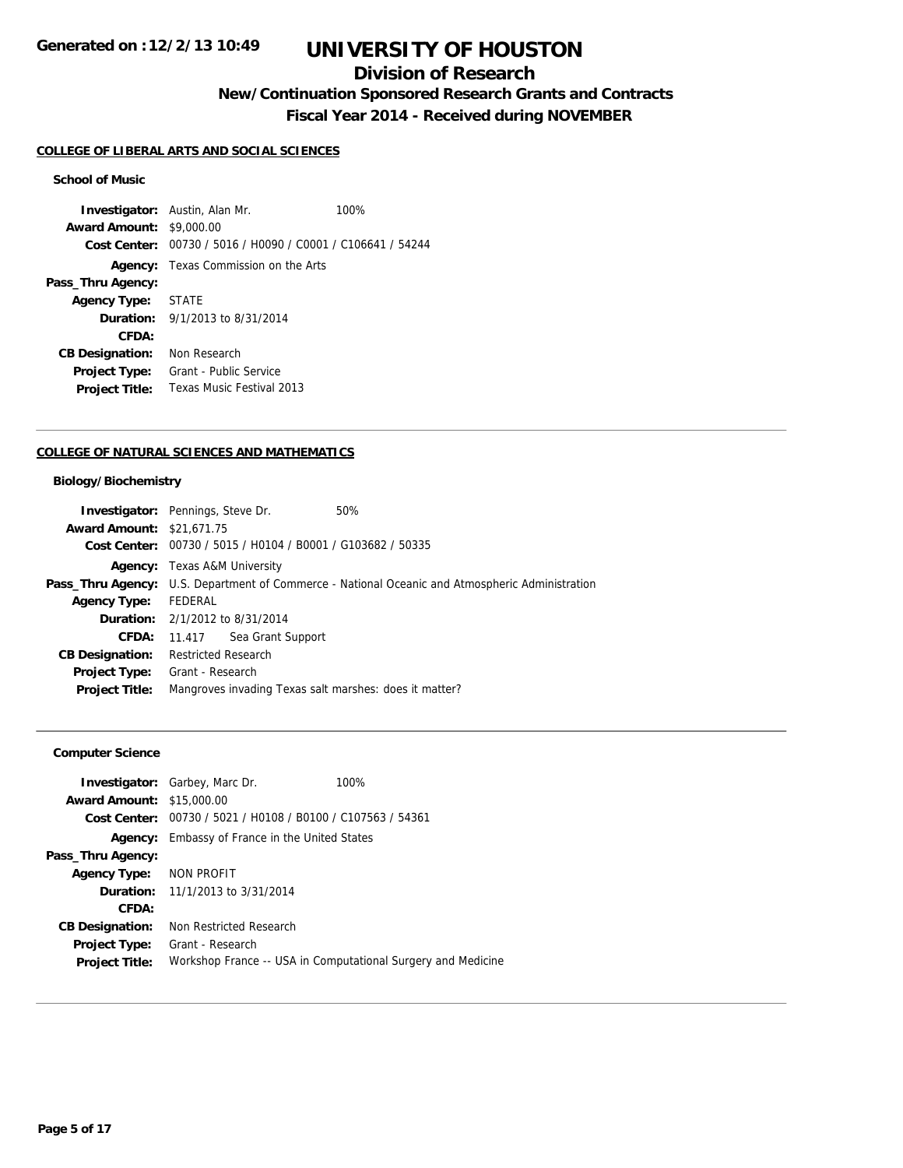# **Division of Research**

# **New/Continuation Sponsored Research Grants and Contracts**

**Fiscal Year 2014 - Received during NOVEMBER**

#### **COLLEGE OF LIBERAL ARTS AND SOCIAL SCIENCES**

### **School of Music**

**Investigator:** Austin, Alan Mr. 100% **Award Amount:** \$9,000.00 **Cost Center:** 00730 / 5016 / H0090 / C0001 / C106641 / 54244 **Agency:** Texas Commission on the Arts **Pass\_Thru Agency: Agency Type:** STATE **Duration:** 9/1/2013 to 8/31/2014 **CFDA: CB Designation:** Non Research **Project Type:** Grant - Public Service **Project Title:** Texas Music Festival 2013

#### **COLLEGE OF NATURAL SCIENCES AND MATHEMATICS**

### **Biology/Biochemistry**

| <b>Investigator:</b> Pennings, Steve Dr. |                                     |                                                             | 50%                                                                                             |
|------------------------------------------|-------------------------------------|-------------------------------------------------------------|-------------------------------------------------------------------------------------------------|
| <b>Award Amount: \$21,671.75</b>         |                                     |                                                             |                                                                                                 |
|                                          |                                     | Cost Center: 00730 / 5015 / H0104 / B0001 / G103682 / 50335 |                                                                                                 |
|                                          | <b>Agency:</b> Texas A&M University |                                                             |                                                                                                 |
|                                          |                                     |                                                             | Pass_Thru Agency: U.S. Department of Commerce - National Oceanic and Atmospheric Administration |
| <b>Agency Type:</b>                      | FEDERAL                             |                                                             |                                                                                                 |
| <b>Duration:</b> 2/1/2012 to 8/31/2014   |                                     |                                                             |                                                                                                 |
| <b>CFDA:</b>                             |                                     | 11.417 Sea Grant Support                                    |                                                                                                 |
| <b>CB Designation:</b>                   | Restricted Research                 |                                                             |                                                                                                 |
| <b>Project Type:</b>                     | Grant - Research                    |                                                             |                                                                                                 |
| <b>Project Title:</b>                    |                                     |                                                             | Mangroves invading Texas salt marshes: does it matter?                                          |
|                                          |                                     |                                                             |                                                                                                 |

## **Computer Science**

|                        | <b>Investigator:</b> Garbey, Marc Dr.                       | 100%                                                         |
|------------------------|-------------------------------------------------------------|--------------------------------------------------------------|
| <b>Award Amount:</b>   | \$15,000.00                                                 |                                                              |
|                        | Cost Center: 00730 / 5021 / H0108 / B0100 / C107563 / 54361 |                                                              |
| Agency:                | Embassy of France in the United States                      |                                                              |
| Pass_Thru Agency:      |                                                             |                                                              |
| <b>Agency Type:</b>    | NON PROFIT                                                  |                                                              |
|                        | <b>Duration:</b> $11/1/2013$ to $3/31/2014$                 |                                                              |
| CFDA:                  |                                                             |                                                              |
| <b>CB Designation:</b> | Non Restricted Research                                     |                                                              |
| <b>Project Type:</b>   | Grant - Research                                            |                                                              |
| <b>Project Title:</b>  |                                                             | Workshop France -- USA in Computational Surgery and Medicine |
|                        |                                                             |                                                              |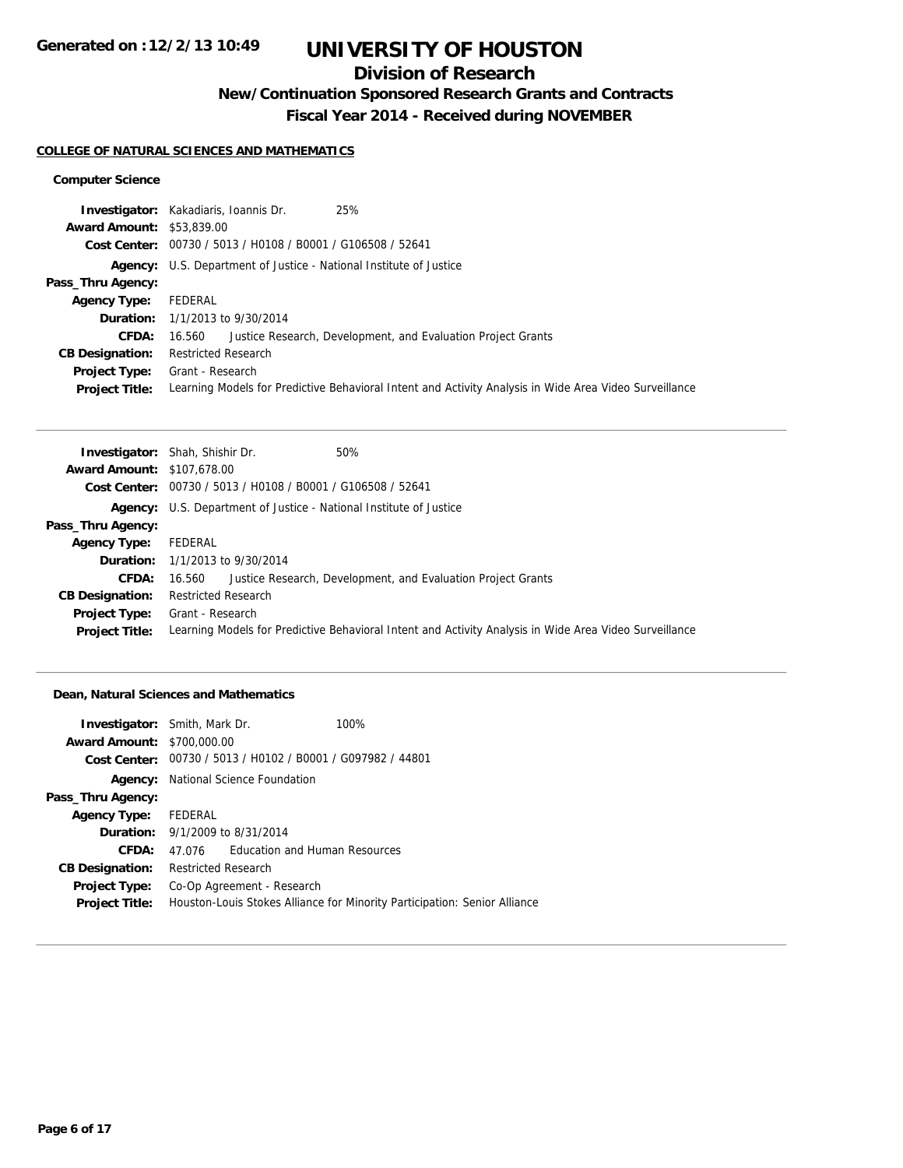# **Division of Research**

**New/Continuation Sponsored Research Grants and Contracts**

**Fiscal Year 2014 - Received during NOVEMBER**

#### **COLLEGE OF NATURAL SCIENCES AND MATHEMATICS**

### **Computer Science**

|                                  | 25%<br><b>Investigator:</b> Kakadiaris, Ioannis Dr.                                                    |
|----------------------------------|--------------------------------------------------------------------------------------------------------|
| <b>Award Amount: \$53,839.00</b> |                                                                                                        |
|                                  | Cost Center: 00730 / 5013 / H0108 / B0001 / G106508 / 52641                                            |
|                                  | <b>Agency:</b> U.S. Department of Justice - National Institute of Justice                              |
| Pass_Thru Agency:                |                                                                                                        |
| <b>Agency Type:</b>              | FEDERAL                                                                                                |
|                                  | <b>Duration:</b> 1/1/2013 to 9/30/2014                                                                 |
| <b>CFDA:</b>                     | Justice Research, Development, and Evaluation Project Grants<br>16.560                                 |
| <b>CB Designation:</b>           | <b>Restricted Research</b>                                                                             |
| <b>Project Type:</b>             | Grant - Research                                                                                       |
| <b>Project Title:</b>            | Learning Models for Predictive Behavioral Intent and Activity Analysis in Wide Area Video Surveillance |

| <b>Investigator:</b> Shah, Shishir Dr.<br>50%                                                          |
|--------------------------------------------------------------------------------------------------------|
| <b>Award Amount: \$107,678.00</b>                                                                      |
| Cost Center: 00730 / 5013 / H0108 / B0001 / G106508 / 52641                                            |
| <b>Agency:</b> U.S. Department of Justice - National Institute of Justice                              |
|                                                                                                        |
| FEDERAL                                                                                                |
| <b>Duration:</b> 1/1/2013 to 9/30/2014                                                                 |
| 16.560 Justice Research, Development, and Evaluation Project Grants                                    |
| <b>Restricted Research</b>                                                                             |
| Grant - Research                                                                                       |
| Learning Models for Predictive Behavioral Intent and Activity Analysis in Wide Area Video Surveillance |
|                                                                                                        |

### **Dean, Natural Sciences and Mathematics**

| <b>Investigator:</b> Smith, Mark Dr. |                            |                                                             | 100%                                                                      |
|--------------------------------------|----------------------------|-------------------------------------------------------------|---------------------------------------------------------------------------|
| <b>Award Amount: \$700,000.00</b>    |                            |                                                             |                                                                           |
|                                      |                            | Cost Center: 00730 / 5013 / H0102 / B0001 / G097982 / 44801 |                                                                           |
|                                      |                            | <b>Agency:</b> National Science Foundation                  |                                                                           |
| Pass_Thru Agency:                    |                            |                                                             |                                                                           |
| Agency Type: FEDERAL                 |                            |                                                             |                                                                           |
|                                      |                            | <b>Duration:</b> 9/1/2009 to 8/31/2014                      |                                                                           |
| CFDA:                                | 47.076                     | <b>Education and Human Resources</b>                        |                                                                           |
| <b>CB Designation:</b>               | <b>Restricted Research</b> |                                                             |                                                                           |
| <b>Project Type:</b>                 |                            | Co-Op Agreement - Research                                  |                                                                           |
| <b>Project Title:</b>                |                            |                                                             | Houston-Louis Stokes Alliance for Minority Participation: Senior Alliance |
|                                      |                            |                                                             |                                                                           |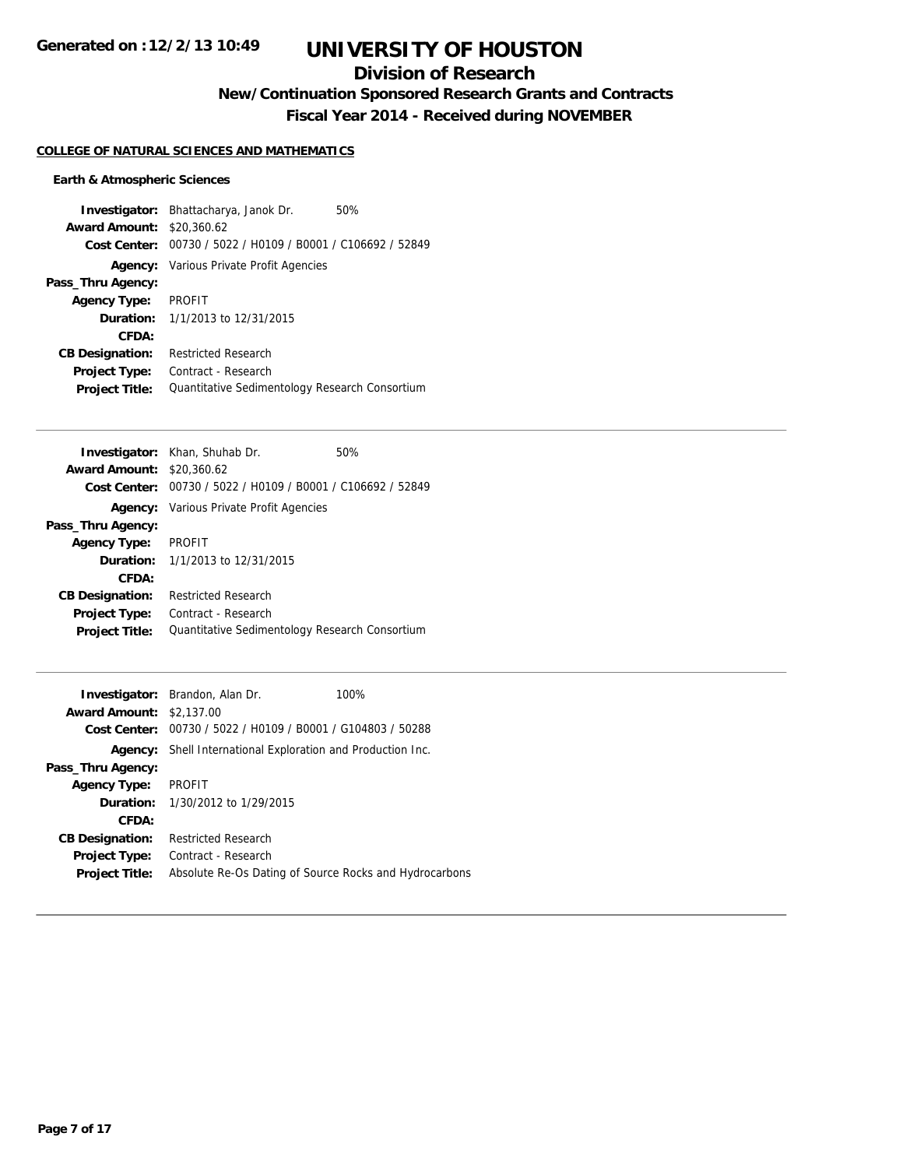# **Division of Research**

# **New/Continuation Sponsored Research Grants and Contracts**

**Fiscal Year 2014 - Received during NOVEMBER**

## **COLLEGE OF NATURAL SCIENCES AND MATHEMATICS**

## **Earth & Atmospheric Sciences**

|                        | <b>Investigator:</b> Bhattacharya, Janok Dr.   | 50% |
|------------------------|------------------------------------------------|-----|
| <b>Award Amount:</b>   | \$20,360.62                                    |     |
| Cost Center:           | 00730 / 5022 / H0109 / B0001 / C106692 / 52849 |     |
|                        | <b>Agency:</b> Various Private Profit Agencies |     |
| Pass_Thru Agency:      |                                                |     |
| <b>Agency Type:</b>    | <b>PROFIT</b>                                  |     |
| <b>Duration:</b>       | 1/1/2013 to 12/31/2015                         |     |
| CFDA:                  |                                                |     |
| <b>CB Designation:</b> | <b>Restricted Research</b>                     |     |
| <b>Project Type:</b>   | Contract - Research                            |     |
| <b>Project Title:</b>  | Quantitative Sedimentology Research Consortium |     |

| <b>Investigator:</b> Khan, Shuhab Dr.                       | 50% |
|-------------------------------------------------------------|-----|
| <b>Award Amount:</b><br>\$20,360.62                         |     |
| Cost Center: 00730 / 5022 / H0109 / B0001 / C106692 / 52849 |     |
| <b>Agency:</b> Various Private Profit Agencies              |     |
|                                                             |     |
| <b>PROFIT</b>                                               |     |
| <b>Duration:</b> 1/1/2013 to 12/31/2015                     |     |
|                                                             |     |
| <b>Restricted Research</b>                                  |     |
| Contract - Research                                         |     |
| Quantitative Sedimentology Research Consortium              |     |
|                                                             |     |

|                                 | <b>Investigator:</b> Brandon, Alan Dr.                             | 100%                                                   |
|---------------------------------|--------------------------------------------------------------------|--------------------------------------------------------|
| <b>Award Amount: \$2,137.00</b> |                                                                    |                                                        |
|                                 | Cost Center: 00730 / 5022 / H0109 / B0001 / G104803 / 50288        |                                                        |
|                                 | <b>Agency:</b> Shell International Exploration and Production Inc. |                                                        |
| Pass_Thru Agency:               |                                                                    |                                                        |
| <b>Agency Type:</b>             | <b>PROFIT</b>                                                      |                                                        |
|                                 | <b>Duration:</b> $1/30/2012$ to $1/29/2015$                        |                                                        |
| CFDA:                           |                                                                    |                                                        |
| <b>CB Designation:</b>          | <b>Restricted Research</b>                                         |                                                        |
| <b>Project Type:</b>            | Contract - Research                                                |                                                        |
| <b>Project Title:</b>           |                                                                    | Absolute Re-Os Dating of Source Rocks and Hydrocarbons |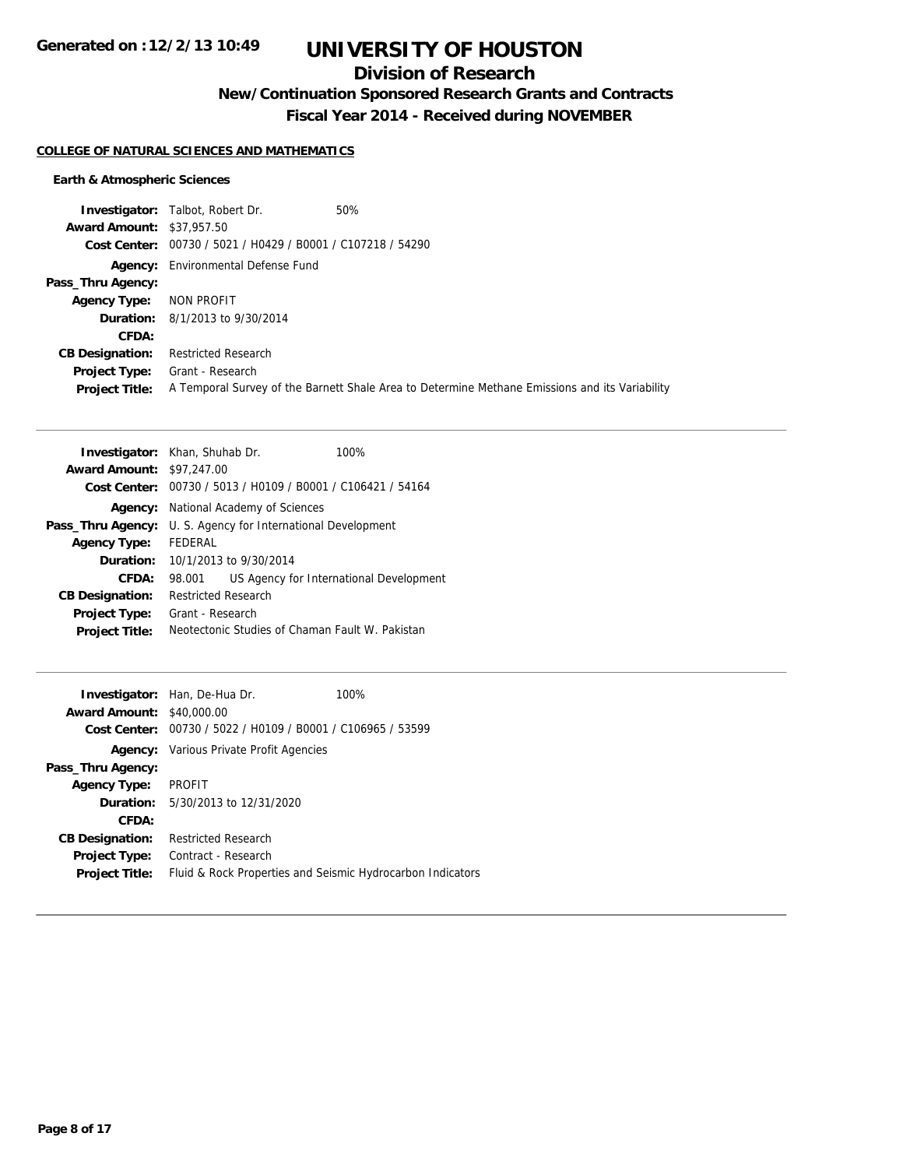## **Division of Research**

**New/Continuation Sponsored Research Grants and Contracts**

**Fiscal Year 2014 - Received during NOVEMBER**

#### **COLLEGE OF NATURAL SCIENCES AND MATHEMATICS**

## **Earth & Atmospheric Sciences**

|                                  | <b>Investigator:</b> Talbot, Robert Dr.                     | 50%                                                                                            |
|----------------------------------|-------------------------------------------------------------|------------------------------------------------------------------------------------------------|
| <b>Award Amount: \$37,957.50</b> |                                                             |                                                                                                |
|                                  | Cost Center: 00730 / 5021 / H0429 / B0001 / C107218 / 54290 |                                                                                                |
|                                  | <b>Agency:</b> Environmental Defense Fund                   |                                                                                                |
| Pass_Thru Agency:                |                                                             |                                                                                                |
| <b>Agency Type:</b>              | NON PROFIT                                                  |                                                                                                |
|                                  | <b>Duration:</b> 8/1/2013 to 9/30/2014                      |                                                                                                |
| CFDA:                            |                                                             |                                                                                                |
| <b>CB Designation:</b>           | <b>Restricted Research</b>                                  |                                                                                                |
| Project Type:                    | Grant - Research                                            |                                                                                                |
| <b>Project Title:</b>            |                                                             | A Temporal Survey of the Barnett Shale Area to Determine Methane Emissions and its Variability |

|                        | <b>Investigator:</b> Khan, Shuhab Dr.                       |  | 100%                                            |
|------------------------|-------------------------------------------------------------|--|-------------------------------------------------|
| <b>Award Amount:</b>   | \$97,247.00                                                 |  |                                                 |
|                        | Cost Center: 00730 / 5013 / H0109 / B0001 / C106421 / 54164 |  |                                                 |
| Agency:                | National Academy of Sciences                                |  |                                                 |
| Pass_Thru Agency:      | U. S. Agency for International Development                  |  |                                                 |
| <b>Agency Type:</b>    | FFDFRAI                                                     |  |                                                 |
| Duration:              | 10/1/2013 to 9/30/2014                                      |  |                                                 |
| CFDA:                  | 98.001                                                      |  | US Agency for International Development         |
| <b>CB Designation:</b> | <b>Restricted Research</b>                                  |  |                                                 |
| <b>Project Type:</b>   | Grant - Research                                            |  |                                                 |
| <b>Project Title:</b>  |                                                             |  | Neotectonic Studies of Chaman Fault W. Pakistan |

|                                  | <b>Investigator:</b> Han, De-Hua Dr.                        | 100% |
|----------------------------------|-------------------------------------------------------------|------|
| <b>Award Amount: \$40,000.00</b> |                                                             |      |
|                                  | Cost Center: 00730 / 5022 / H0109 / B0001 / C106965 / 53599 |      |
|                                  | <b>Agency:</b> Various Private Profit Agencies              |      |
| Pass_Thru Agency:                |                                                             |      |
| <b>Agency Type:</b>              | <b>PROFIT</b>                                               |      |
| <b>Duration:</b>                 | 5/30/2013 to 12/31/2020                                     |      |
| CFDA:                            |                                                             |      |
| <b>CB Designation:</b>           | <b>Restricted Research</b>                                  |      |
| Project Type:                    | Contract - Research                                         |      |
| <b>Project Title:</b>            | Fluid & Rock Properties and Seismic Hydrocarbon Indicators  |      |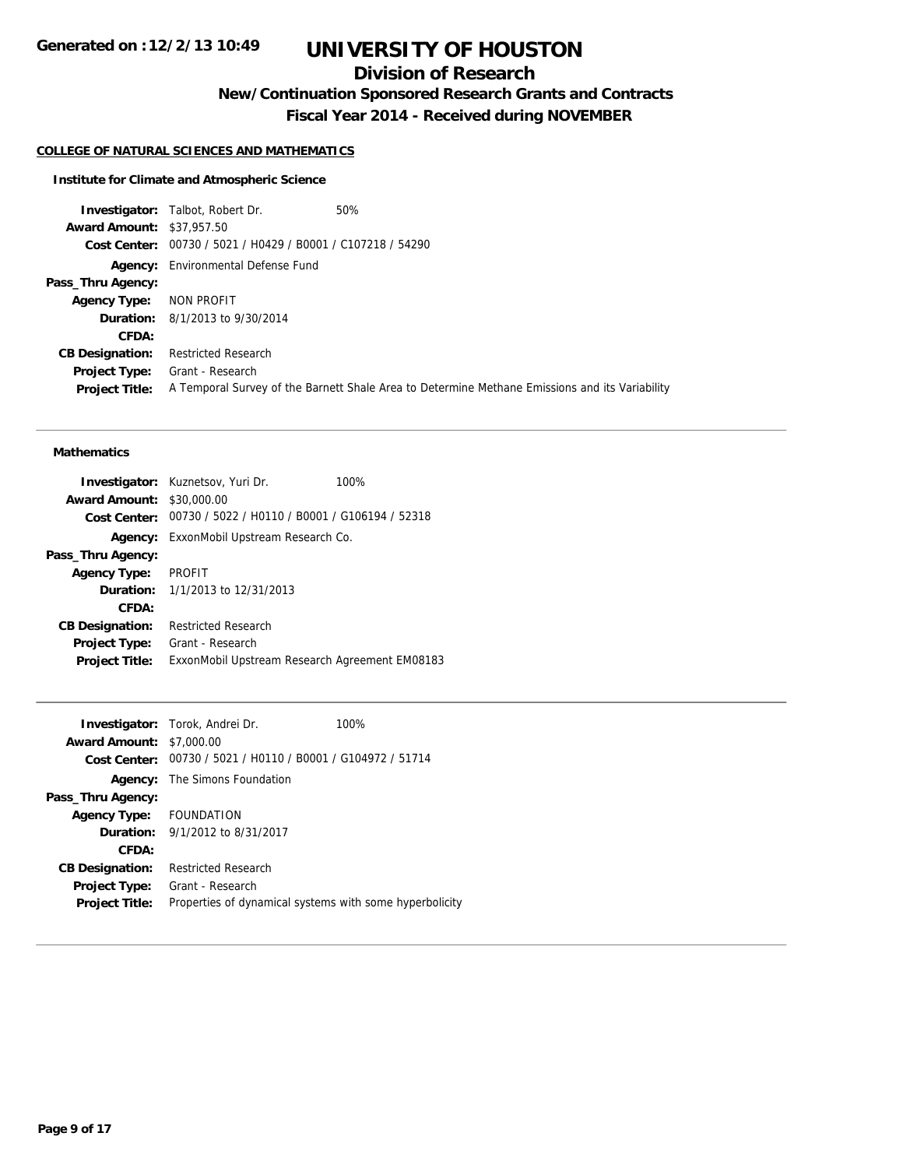# **Division of Research**

**New/Continuation Sponsored Research Grants and Contracts**

**Fiscal Year 2014 - Received during NOVEMBER**

## **COLLEGE OF NATURAL SCIENCES AND MATHEMATICS**

#### **Institute for Climate and Atmospheric Science**

**Investigator:** Talbot, Robert Dr. 50% **Award Amount:** \$37,957.50 **Cost Center:** 00730 / 5021 / H0429 / B0001 / C107218 / 54290 **Agency:** Environmental Defense Fund **Pass\_Thru Agency: Agency Type:** NON PROFIT **Duration:** 8/1/2013 to 9/30/2014 **CFDA: CB Designation:** Restricted Research **Project Type:** Grant - Research **Project Title:** A Temporal Survey of the Barnett Shale Area to Determine Methane Emissions and its Variability

#### **Mathematics**

| <b>Investigator:</b> Kuznetsov, Yuri Dr.<br>100%            |
|-------------------------------------------------------------|
| <b>Award Amount: \$30,000.00</b>                            |
| Cost Center: 00730 / 5022 / H0110 / B0001 / G106194 / 52318 |
| <b>Agency:</b> ExxonMobil Upstream Research Co.             |
|                                                             |
| PROFIT                                                      |
| <b>Duration:</b> 1/1/2013 to 12/31/2013                     |
|                                                             |
| <b>Restricted Research</b>                                  |
| Grant - Research                                            |
| ExxonMobil Upstream Research Agreement EM08183              |
|                                                             |

|                                 | <b>Investigator:</b> Torok, Andrei Dr.                      | 100% |
|---------------------------------|-------------------------------------------------------------|------|
| <b>Award Amount: \$7,000.00</b> |                                                             |      |
|                                 | Cost Center: 00730 / 5021 / H0110 / B0001 / G104972 / 51714 |      |
|                                 | <b>Agency:</b> The Simons Foundation                        |      |
| Pass_Thru Agency:               |                                                             |      |
| Agency Type: FOUNDATION         |                                                             |      |
|                                 | <b>Duration:</b> $9/1/2012$ to $8/31/2017$                  |      |
| CFDA:                           |                                                             |      |
| <b>CB Designation:</b>          | <b>Restricted Research</b>                                  |      |
| Project Type:                   | Grant - Research                                            |      |
| <b>Project Title:</b>           | Properties of dynamical systems with some hyperbolicity     |      |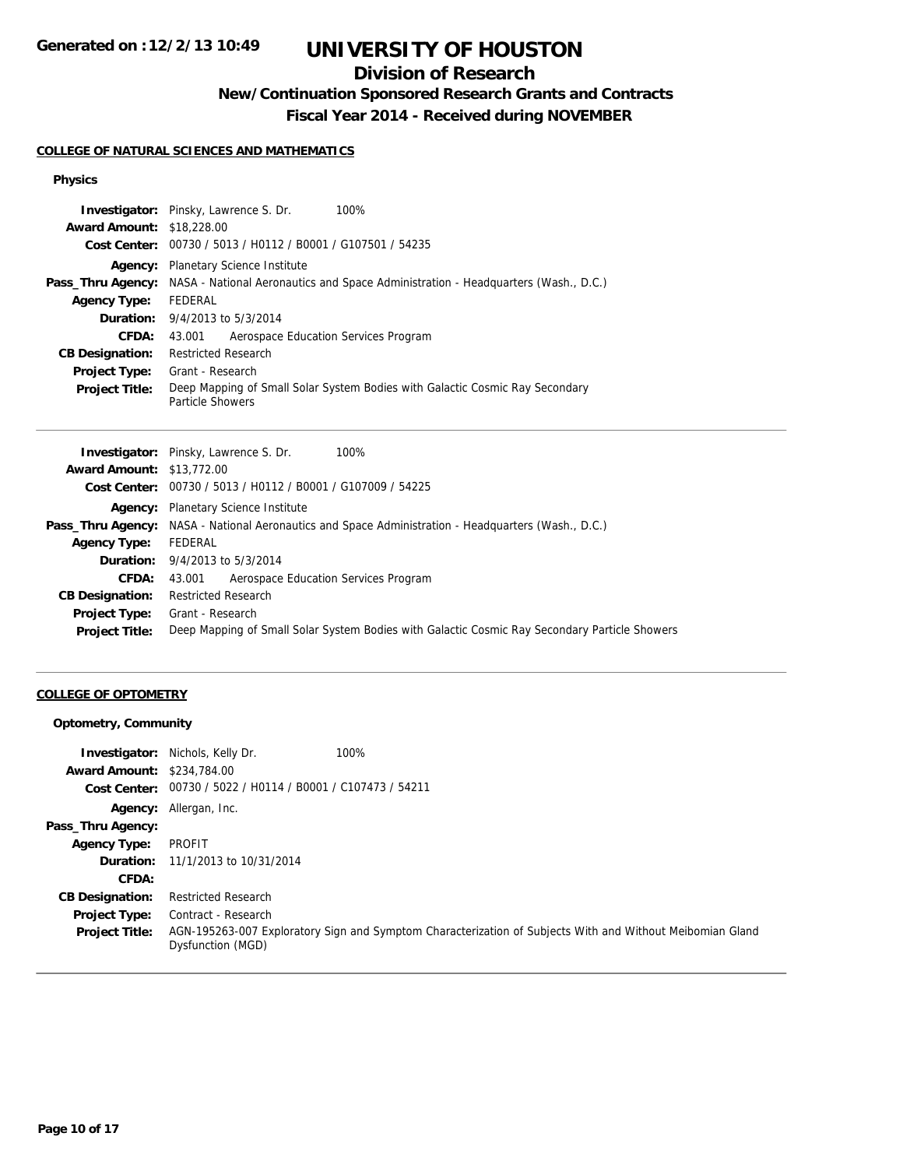# **Division of Research**

# **New/Continuation Sponsored Research Grants and Contracts**

**Fiscal Year 2014 - Received during NOVEMBER**

## **COLLEGE OF NATURAL SCIENCES AND MATHEMATICS**

### **Physics**

|                                  | <b>Investigator:</b> Pinsky, Lawrence S. Dr.<br>100%                                                       |
|----------------------------------|------------------------------------------------------------------------------------------------------------|
| <b>Award Amount: \$18,228.00</b> |                                                                                                            |
|                                  | Cost Center: 00730 / 5013 / H0112 / B0001 / G107501 / 54235                                                |
|                                  | <b>Agency:</b> Planetary Science Institute                                                                 |
|                                  | <b>Pass_Thru Agency:</b> NASA - National Aeronautics and Space Administration - Headquarters (Wash., D.C.) |
| <b>Agency Type:</b>              | FEDERAL                                                                                                    |
|                                  | <b>Duration:</b> 9/4/2013 to 5/3/2014                                                                      |
| CFDA:                            | Aerospace Education Services Program<br>43.001                                                             |
| <b>CB Designation:</b>           | <b>Restricted Research</b>                                                                                 |
| Project Type:                    | Grant - Research                                                                                           |
| <b>Project Title:</b>            | Deep Mapping of Small Solar System Bodies with Galactic Cosmic Ray Secondary<br>Particle Showers           |

|                                  | <b>Investigator:</b> Pinsky, Lawrence S. Dr.<br>100%                                                       |
|----------------------------------|------------------------------------------------------------------------------------------------------------|
| <b>Award Amount: \$13,772.00</b> |                                                                                                            |
|                                  | Cost Center: 00730 / 5013 / H0112 / B0001 / G107009 / 54225                                                |
|                                  | Agency: Planetary Science Institute                                                                        |
|                                  | <b>Pass_Thru Agency:</b> NASA - National Aeronautics and Space Administration - Headquarters (Wash., D.C.) |
| <b>Agency Type:</b>              | FEDERAL                                                                                                    |
|                                  | <b>Duration:</b> 9/4/2013 to 5/3/2014                                                                      |
| CFDA:                            | Aerospace Education Services Program<br>43.001                                                             |
| <b>CB Designation:</b>           | <b>Restricted Research</b>                                                                                 |
| <b>Project Type:</b>             | Grant - Research                                                                                           |
| <b>Project Title:</b>            | Deep Mapping of Small Solar System Bodies with Galactic Cosmic Ray Secondary Particle Showers              |
|                                  |                                                                                                            |

## **COLLEGE OF OPTOMETRY**

## **Optometry, Community**

| <b>Award Amount: \$234,784.00</b> | <b>Investigator:</b> Nichols, Kelly Dr.                     | 100%                                                                                                      |
|-----------------------------------|-------------------------------------------------------------|-----------------------------------------------------------------------------------------------------------|
|                                   | Cost Center: 00730 / 5022 / H0114 / B0001 / C107473 / 54211 |                                                                                                           |
|                                   | Agency: Allergan, Inc.                                      |                                                                                                           |
| Pass_Thru Agency:                 |                                                             |                                                                                                           |
| <b>Agency Type:</b>               | PROFIT                                                      |                                                                                                           |
|                                   | <b>Duration:</b> 11/1/2013 to 10/31/2014                    |                                                                                                           |
| CFDA:                             |                                                             |                                                                                                           |
| <b>CB Designation:</b>            | <b>Restricted Research</b>                                  |                                                                                                           |
| <b>Project Type:</b>              | Contract - Research                                         |                                                                                                           |
| <b>Project Title:</b>             | Dysfunction (MGD)                                           | AGN-195263-007 Exploratory Sign and Symptom Characterization of Subjects With and Without Meibomian Gland |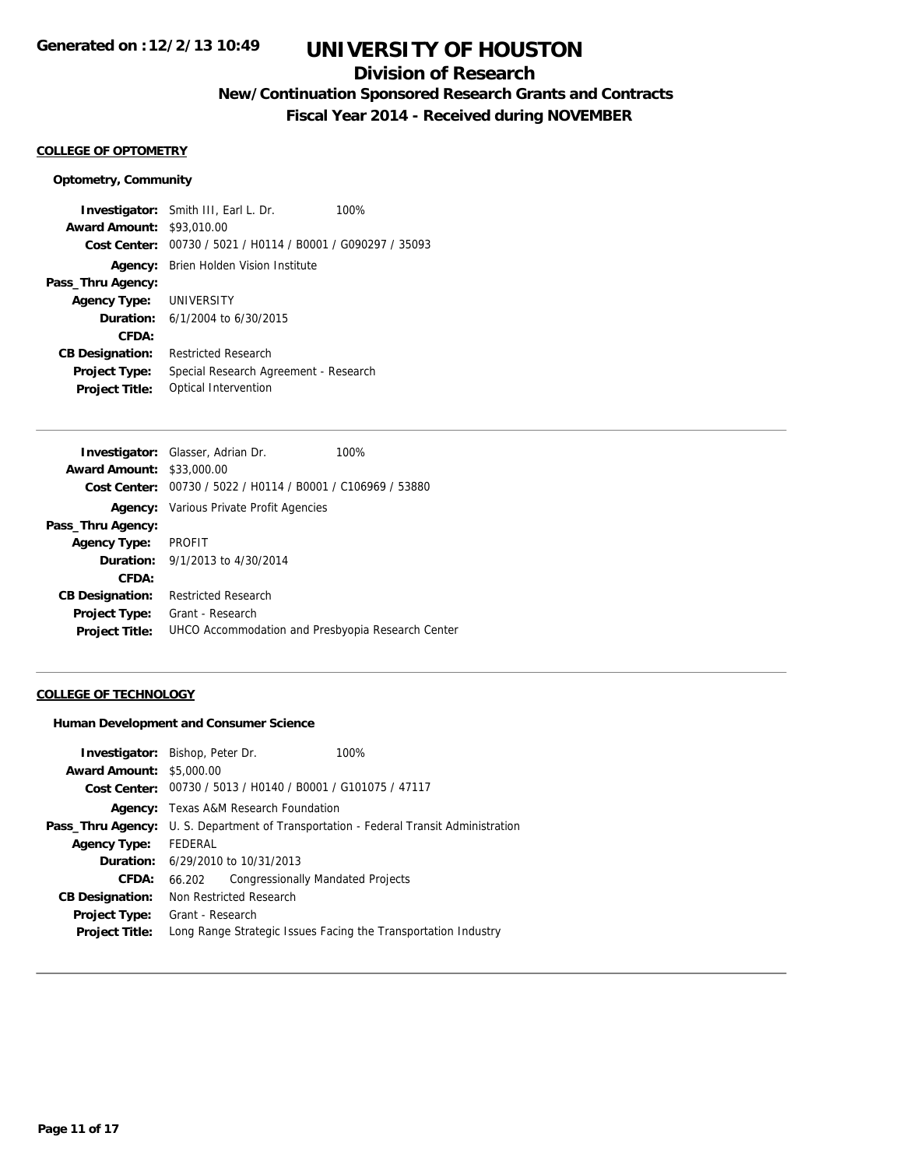## **Division of Research**

# **New/Continuation Sponsored Research Grants and Contracts**

**Fiscal Year 2014 - Received during NOVEMBER**

#### **COLLEGE OF OPTOMETRY**

#### **Optometry, Community**

**Investigator:** Smith III, Earl L. Dr. 100% **Award Amount:** \$93,010.00 **Cost Center:** 00730 / 5021 / H0114 / B0001 / G090297 / 35093 **Agency:** Brien Holden Vision Institute **Pass\_Thru Agency: Agency Type:** UNIVERSITY **Duration:** 6/1/2004 to 6/30/2015 **CFDA: CB Designation:** Restricted Research **Project Type:** Special Research Agreement - Research **Project Title:** Optical Intervention

|                                  | <b>Investigator:</b> Glasser, Adrian Dr.<br>100%            |  |
|----------------------------------|-------------------------------------------------------------|--|
| <b>Award Amount: \$33,000.00</b> |                                                             |  |
|                                  | Cost Center: 00730 / 5022 / H0114 / B0001 / C106969 / 53880 |  |
|                                  | <b>Agency:</b> Various Private Profit Agencies              |  |
| Pass_Thru Agency:                |                                                             |  |
| <b>Agency Type:</b>              | PROFIT                                                      |  |
|                                  | <b>Duration:</b> 9/1/2013 to 4/30/2014                      |  |
| CFDA:                            |                                                             |  |
| <b>CB Designation:</b>           | <b>Restricted Research</b>                                  |  |
| <b>Project Type:</b>             | Grant - Research                                            |  |
| <b>Project Title:</b>            | UHCO Accommodation and Presbyopia Research Center           |  |

### **COLLEGE OF TECHNOLOGY**

#### **Human Development and Consumer Science**

| <b>Investigator:</b> Bishop, Peter Dr. |                                              |                                          | 100%                                                                                        |
|----------------------------------------|----------------------------------------------|------------------------------------------|---------------------------------------------------------------------------------------------|
| <b>Award Amount: \$5,000.00</b>        |                                              |                                          |                                                                                             |
|                                        |                                              |                                          | Cost Center: 00730 / 5013 / H0140 / B0001 / G101075 / 47117                                 |
|                                        | <b>Agency:</b> Texas A&M Research Foundation |                                          |                                                                                             |
|                                        |                                              |                                          | <b>Pass_Thru Agency:</b> U.S. Department of Transportation - Federal Transit Administration |
| <b>Agency Type:</b>                    | FEDERAL                                      |                                          |                                                                                             |
|                                        | <b>Duration:</b> 6/29/2010 to 10/31/2013     |                                          |                                                                                             |
| CFDA:                                  | 66.202                                       | <b>Congressionally Mandated Projects</b> |                                                                                             |
| <b>CB Designation:</b>                 | Non Restricted Research                      |                                          |                                                                                             |
| <b>Project Type:</b>                   | Grant - Research                             |                                          |                                                                                             |
| <b>Project Title:</b>                  |                                              |                                          | Long Range Strategic Issues Facing the Transportation Industry                              |
|                                        |                                              |                                          |                                                                                             |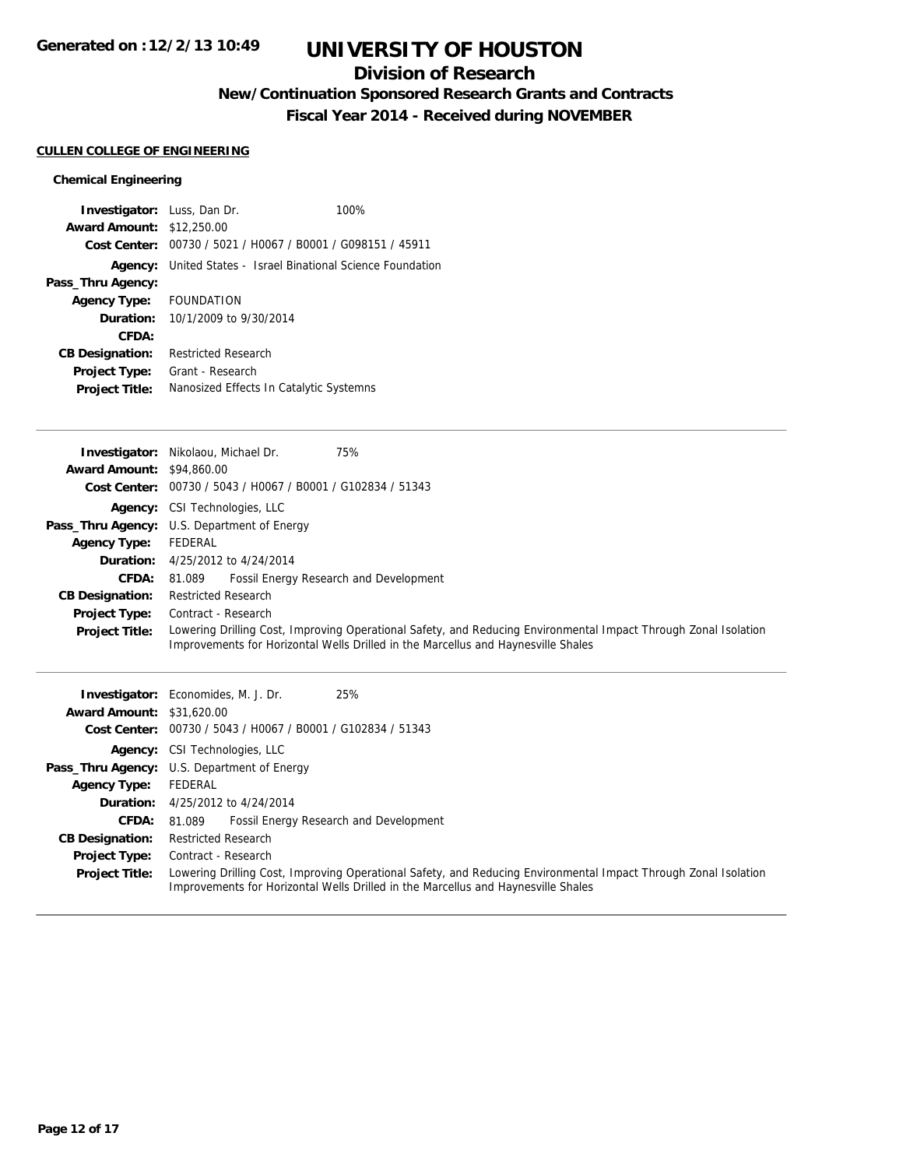## **Division of Research**

# **New/Continuation Sponsored Research Grants and Contracts**

**Fiscal Year 2014 - Received during NOVEMBER**

## **CULLEN COLLEGE OF ENGINEERING**

## **Chemical Engineering**

| <b>Investigator:</b> Luss, Dan Dr. |                            | 100%                                                        |
|------------------------------------|----------------------------|-------------------------------------------------------------|
| <b>Award Amount: \$12,250.00</b>   |                            |                                                             |
|                                    |                            | Cost Center: 00730 / 5021 / H0067 / B0001 / G098151 / 45911 |
| Agency:                            |                            | United States - Israel Binational Science Foundation        |
| Pass_Thru Agency:                  |                            |                                                             |
| Agency Type: FOUNDATION            |                            |                                                             |
| <b>Duration:</b>                   | 10/1/2009 to 9/30/2014     |                                                             |
| CFDA:                              |                            |                                                             |
| <b>CB Designation:</b>             | <b>Restricted Research</b> |                                                             |
| Project Type:                      | Grant - Research           |                                                             |
| <b>Project Title:</b>              |                            | Nanosized Effects In Catalytic Systemns                     |

|                                  | 75%<br><b>Investigator:</b> Nikolaou, Michael Dr.                                                                                                                                                    |
|----------------------------------|------------------------------------------------------------------------------------------------------------------------------------------------------------------------------------------------------|
| <b>Award Amount: \$94,860.00</b> |                                                                                                                                                                                                      |
|                                  | Cost Center: 00730 / 5043 / H0067 / B0001 / G102834 / 51343                                                                                                                                          |
|                                  | <b>Agency:</b> CSI Technologies, LLC                                                                                                                                                                 |
|                                  | <b>Pass_Thru Agency:</b> U.S. Department of Energy                                                                                                                                                   |
| <b>Agency Type:</b>              | FEDERAL                                                                                                                                                                                              |
|                                  | <b>Duration:</b> 4/25/2012 to 4/24/2014                                                                                                                                                              |
| <b>CFDA:</b>                     | Fossil Energy Research and Development<br>81.089                                                                                                                                                     |
| <b>CB Designation:</b>           | <b>Restricted Research</b>                                                                                                                                                                           |
| Project Type:                    | Contract - Research                                                                                                                                                                                  |
| <b>Project Title:</b>            | Lowering Drilling Cost, Improving Operational Safety, and Reducing Environmental Impact Through Zonal Isolation<br>Improvements for Horizontal Wells Drilled in the Marcellus and Haynesville Shales |
|                                  | <b>Investigator:</b> Economides, M. J. Dr.<br>25%                                                                                                                                                    |
| <b>Award Amount: \$31,620.00</b> |                                                                                                                                                                                                      |
|                                  | $Cost$ Conter: $00730 / 5043 / 40067 / 80001 / 6102834 / 51343$                                                                                                                                      |

| <b>Award Amount: \$31,620.00</b> |                                                                                                                                                                                                      |
|----------------------------------|------------------------------------------------------------------------------------------------------------------------------------------------------------------------------------------------------|
|                                  | Cost Center: 00730 / 5043 / H0067 / B0001 / G102834 / 51343                                                                                                                                          |
|                                  | <b>Agency:</b> CSI Technologies, LLC                                                                                                                                                                 |
|                                  | <b>Pass_Thru Agency:</b> U.S. Department of Energy                                                                                                                                                   |
| <b>Agency Type:</b>              | FEDERAL                                                                                                                                                                                              |
|                                  | <b>Duration:</b> 4/25/2012 to 4/24/2014                                                                                                                                                              |
|                                  | <b>CFDA:</b> 81.089 Fossil Energy Research and Development                                                                                                                                           |
| <b>CB Designation:</b>           | <b>Restricted Research</b>                                                                                                                                                                           |
| <b>Project Type:</b>             | Contract - Research                                                                                                                                                                                  |
| <b>Project Title:</b>            | Lowering Drilling Cost, Improving Operational Safety, and Reducing Environmental Impact Through Zonal Isolation<br>Improvements for Horizontal Wells Drilled in the Marcellus and Haynesville Shales |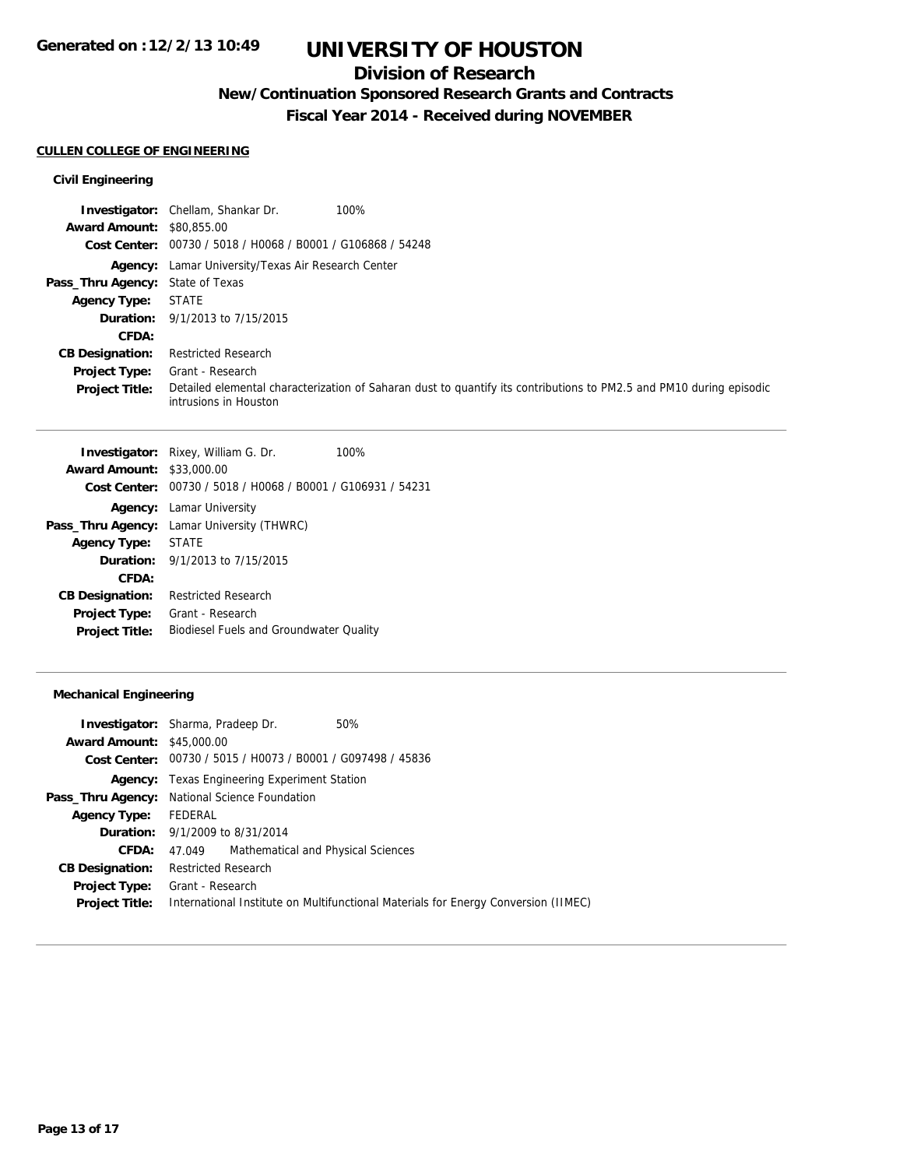## **Division of Research**

# **New/Continuation Sponsored Research Grants and Contracts**

**Fiscal Year 2014 - Received during NOVEMBER**

### **CULLEN COLLEGE OF ENGINEERING**

## **Civil Engineering**

|                                  | <b>Investigator:</b> Chellam, Shankar Dr.<br>100%                                                                                            |
|----------------------------------|----------------------------------------------------------------------------------------------------------------------------------------------|
| <b>Award Amount: \$80,855,00</b> |                                                                                                                                              |
|                                  | Cost Center: 00730 / 5018 / H0068 / B0001 / G106868 / 54248                                                                                  |
|                                  | Agency: Lamar University/Texas Air Research Center                                                                                           |
| Pass_Thru Agency: State of Texas |                                                                                                                                              |
| <b>Agency Type:</b>              | STATE                                                                                                                                        |
|                                  | <b>Duration:</b> 9/1/2013 to 7/15/2015                                                                                                       |
| CFDA:                            |                                                                                                                                              |
| <b>CB Designation:</b>           | <b>Restricted Research</b>                                                                                                                   |
| <b>Project Type:</b>             | Grant - Research                                                                                                                             |
| <b>Project Title:</b>            | Detailed elemental characterization of Saharan dust to quantify its contributions to PM2.5 and PM10 during episodic<br>intrusions in Houston |

|                                  | <b>Investigator:</b> Rixey, William G. Dr.                  | 100% |
|----------------------------------|-------------------------------------------------------------|------|
| <b>Award Amount: \$33,000.00</b> |                                                             |      |
|                                  | Cost Center: 00730 / 5018 / H0068 / B0001 / G106931 / 54231 |      |
|                                  | <b>Agency:</b> Lamar University                             |      |
|                                  | Pass_Thru Agency: Lamar University (THWRC)                  |      |
| <b>Agency Type:</b>              | <b>STATE</b>                                                |      |
|                                  | <b>Duration:</b> $9/1/2013$ to $7/15/2015$                  |      |
| CFDA:                            |                                                             |      |
| <b>CB Designation:</b>           | <b>Restricted Research</b>                                  |      |
| <b>Project Type:</b>             | Grant - Research                                            |      |
| <b>Project Title:</b>            | <b>Biodiesel Fuels and Groundwater Quality</b>              |      |
|                                  |                                                             |      |

## **Mechanical Engineering**

|                                  | <b>Investigator:</b> Sharma, Pradeep Dr.                    | 50%                                                                                |  |  |
|----------------------------------|-------------------------------------------------------------|------------------------------------------------------------------------------------|--|--|
| <b>Award Amount: \$45,000.00</b> |                                                             |                                                                                    |  |  |
|                                  | Cost Center: 00730 / 5015 / H0073 / B0001 / G097498 / 45836 |                                                                                    |  |  |
|                                  |                                                             | <b>Agency:</b> Texas Engineering Experiment Station                                |  |  |
|                                  | Pass_Thru Agency: National Science Foundation               |                                                                                    |  |  |
| <b>Agency Type:</b>              | FEDERAL                                                     |                                                                                    |  |  |
|                                  | <b>Duration:</b> 9/1/2009 to 8/31/2014                      |                                                                                    |  |  |
| CFDA:                            | Mathematical and Physical Sciences<br>47.049                |                                                                                    |  |  |
| <b>CB Designation:</b>           | <b>Restricted Research</b>                                  |                                                                                    |  |  |
| <b>Project Type:</b>             | Grant - Research                                            |                                                                                    |  |  |
| <b>Project Title:</b>            |                                                             | International Institute on Multifunctional Materials for Energy Conversion (IIMEC) |  |  |
|                                  |                                                             |                                                                                    |  |  |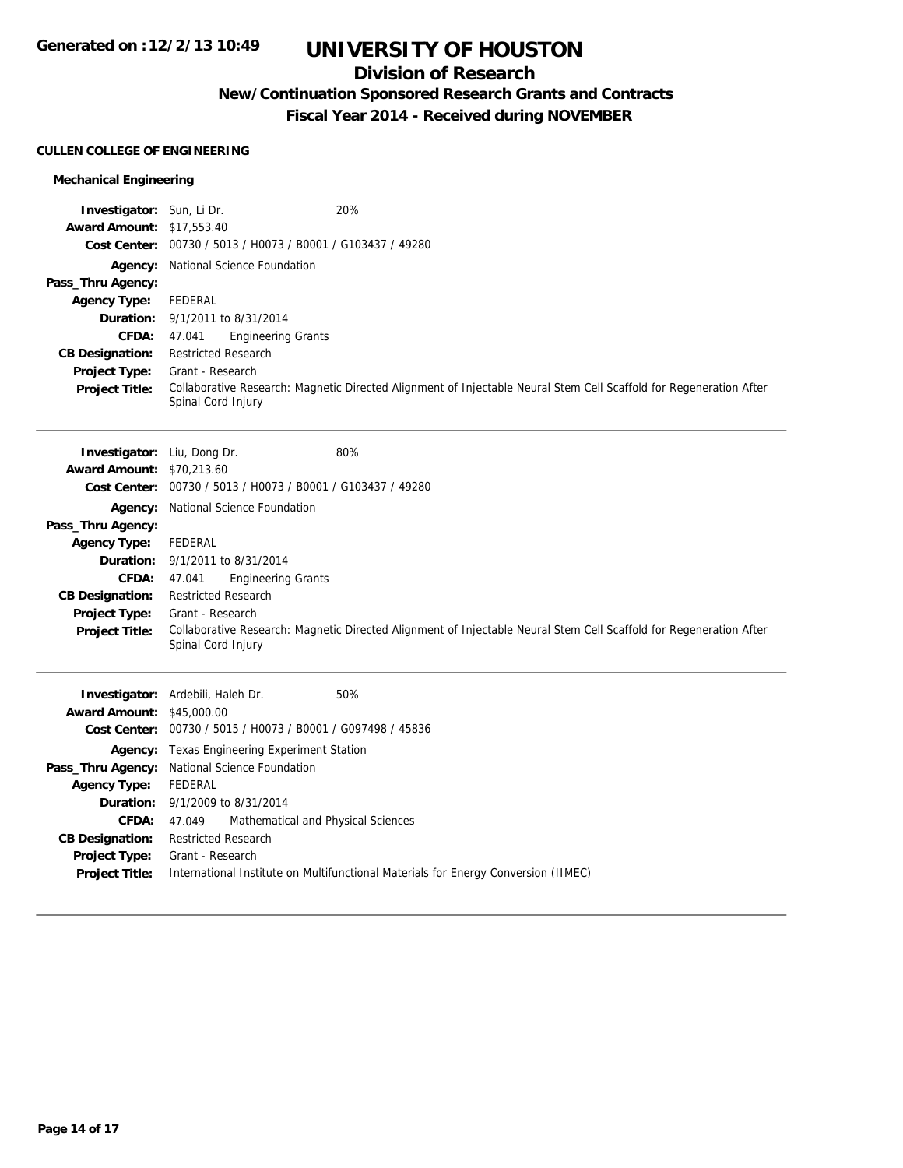# **Division of Research**

# **New/Continuation Sponsored Research Grants and Contracts**

**Fiscal Year 2014 - Received during NOVEMBER**

## **CULLEN COLLEGE OF ENGINEERING**

## **Mechanical Engineering**

| <b>Investigator:</b> Sun, Li Dr.<br><b>Award Amount: \$17,553.40</b> | 20%                                                                                                                                      |
|----------------------------------------------------------------------|------------------------------------------------------------------------------------------------------------------------------------------|
|                                                                      | Cost Center: 00730 / 5013 / H0073 / B0001 / G103437 / 49280                                                                              |
|                                                                      | Agency: National Science Foundation                                                                                                      |
| Pass_Thru Agency:                                                    |                                                                                                                                          |
| <b>Agency Type:</b>                                                  | <b>FEDERAL</b>                                                                                                                           |
| Duration:                                                            | 9/1/2011 to 8/31/2014                                                                                                                    |
| CFDA:                                                                | <b>Engineering Grants</b><br>47.041                                                                                                      |
| <b>CB Designation:</b>                                               | <b>Restricted Research</b>                                                                                                               |
| Project Type:                                                        | Grant - Research                                                                                                                         |
| <b>Project Title:</b>                                                | Collaborative Research: Magnetic Directed Alignment of Injectable Neural Stem Cell Scaffold for Regeneration After<br>Spinal Cord Injury |
| Investigator: Liu, Dong Dr.                                          | 80%                                                                                                                                      |
| <b>Award Amount: \$70,213.60</b>                                     |                                                                                                                                          |
|                                                                      | Cost Center: 00730 / 5013 / H0073 / B0001 / G103437 / 49280                                                                              |
|                                                                      | Agency: National Science Foundation                                                                                                      |
| Pass_Thru Agency:                                                    |                                                                                                                                          |
| <b>Agency Type:</b>                                                  | <b>FEDERAL</b>                                                                                                                           |
|                                                                      | <b>Duration:</b> 9/1/2011 to 8/31/2014                                                                                                   |
| <b>CFDA:</b>                                                         | <b>Engineering Grants</b><br>47.041                                                                                                      |
| <b>CB Designation:</b>                                               | <b>Restricted Research</b>                                                                                                               |
| Project Type:                                                        | Grant - Research                                                                                                                         |
| <b>Project Title:</b>                                                | Collaborative Research: Magnetic Directed Alignment of Injectable Neural Stem Cell Scaffold for Regeneration After<br>Spinal Cord Injury |
|                                                                      | 50%<br>Investigator: Ardebili, Haleh Dr.                                                                                                 |
| <b>Award Amount: \$45,000.00</b>                                     |                                                                                                                                          |
|                                                                      | Cost Center: 00730 / 5015 / H0073 / B0001 / G097498 / 45836                                                                              |
|                                                                      | <b>Agency:</b> Texas Engineering Experiment Station                                                                                      |
|                                                                      | Pass_Thru Agency: National Science Foundation                                                                                            |
| <b>Agency Type:</b>                                                  | <b>FEDERAL</b>                                                                                                                           |
| Duration:                                                            | 9/1/2009 to 8/31/2014                                                                                                                    |
| CFDA:                                                                | 47.049<br>Mathematical and Physical Sciences                                                                                             |
| <b>CB Designation:</b>                                               | <b>Restricted Research</b>                                                                                                               |
| Project Type:                                                        | Grant - Research                                                                                                                         |
| <b>Project Title:</b>                                                | International Institute on Multifunctional Materials for Energy Conversion (IIMEC)                                                       |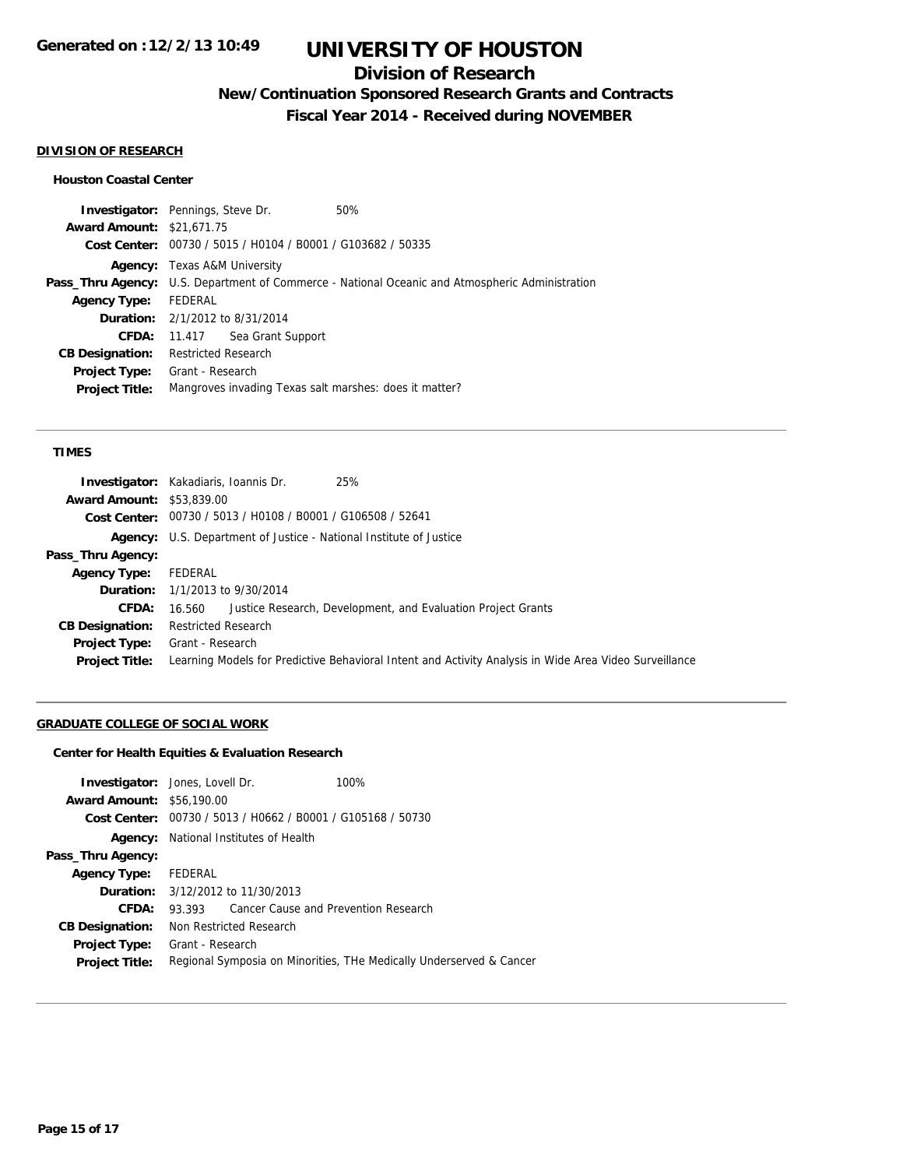## **Division of Research**

**New/Continuation Sponsored Research Grants and Contracts**

**Fiscal Year 2014 - Received during NOVEMBER**

#### **DIVISION OF RESEARCH**

### **Houston Coastal Center**

| <b>Investigator:</b> Pennings, Steve Dr. |                                        |                                                             | 50%                                                                                             |
|------------------------------------------|----------------------------------------|-------------------------------------------------------------|-------------------------------------------------------------------------------------------------|
| <b>Award Amount: \$21,671.75</b>         |                                        |                                                             |                                                                                                 |
|                                          |                                        | Cost Center: 00730 / 5015 / H0104 / B0001 / G103682 / 50335 |                                                                                                 |
|                                          | <b>Agency:</b> Texas A&M University    |                                                             |                                                                                                 |
|                                          |                                        |                                                             | Pass_Thru Agency: U.S. Department of Commerce - National Oceanic and Atmospheric Administration |
| <b>Agency Type:</b>                      | FEDERAL                                |                                                             |                                                                                                 |
|                                          | <b>Duration:</b> 2/1/2012 to 8/31/2014 |                                                             |                                                                                                 |
| CFDA:                                    |                                        | 11.417 Sea Grant Support                                    |                                                                                                 |
| <b>CB Designation:</b>                   | <b>Restricted Research</b>             |                                                             |                                                                                                 |
| <b>Project Type:</b>                     | Grant - Research                       |                                                             |                                                                                                 |
| <b>Project Title:</b>                    |                                        |                                                             | Mangroves invading Texas salt marshes: does it matter?                                          |
|                                          |                                        |                                                             |                                                                                                 |

### **TIMES**

|                                  | 25%<br><b>Investigator:</b> Kakadiaris, Ioannis Dr.                                                    |
|----------------------------------|--------------------------------------------------------------------------------------------------------|
| <b>Award Amount: \$53,839.00</b> |                                                                                                        |
|                                  | Cost Center: 00730 / 5013 / H0108 / B0001 / G106508 / 52641                                            |
|                                  | <b>Agency:</b> U.S. Department of Justice - National Institute of Justice                              |
| Pass_Thru Agency:                |                                                                                                        |
| <b>Agency Type:</b>              | FEDERAL                                                                                                |
|                                  | <b>Duration:</b> 1/1/2013 to 9/30/2014                                                                 |
| <b>CFDA:</b>                     | Justice Research, Development, and Evaluation Project Grants<br>16.560                                 |
| <b>CB Designation:</b>           | <b>Restricted Research</b>                                                                             |
| <b>Project Type:</b>             | Grant - Research                                                                                       |
| <b>Project Title:</b>            | Learning Models for Predictive Behavioral Intent and Activity Analysis in Wide Area Video Surveillance |
|                                  |                                                                                                        |

## **GRADUATE COLLEGE OF SOCIAL WORK**

## **Center for Health Equities & Evaluation Research**

|                                  | <b>Investigator:</b> Jones, Lovell Dr.                              | 100% |  |
|----------------------------------|---------------------------------------------------------------------|------|--|
| <b>Award Amount: \$56,190.00</b> |                                                                     |      |  |
|                                  | Cost Center: 00730 / 5013 / H0662 / B0001 / G105168 / 50730         |      |  |
| Agency:                          | National Institutes of Health                                       |      |  |
| Pass_Thru Agency:                |                                                                     |      |  |
| Agency Type: FEDERAL             |                                                                     |      |  |
|                                  | <b>Duration:</b> 3/12/2012 to 11/30/2013                            |      |  |
| CFDA:                            | 93.393 Cancer Cause and Prevention Research                         |      |  |
| <b>CB Designation:</b>           | Non Restricted Research                                             |      |  |
| <b>Project Type:</b>             | Grant - Research                                                    |      |  |
| <b>Project Title:</b>            | Regional Symposia on Minorities, THe Medically Underserved & Cancer |      |  |
|                                  |                                                                     |      |  |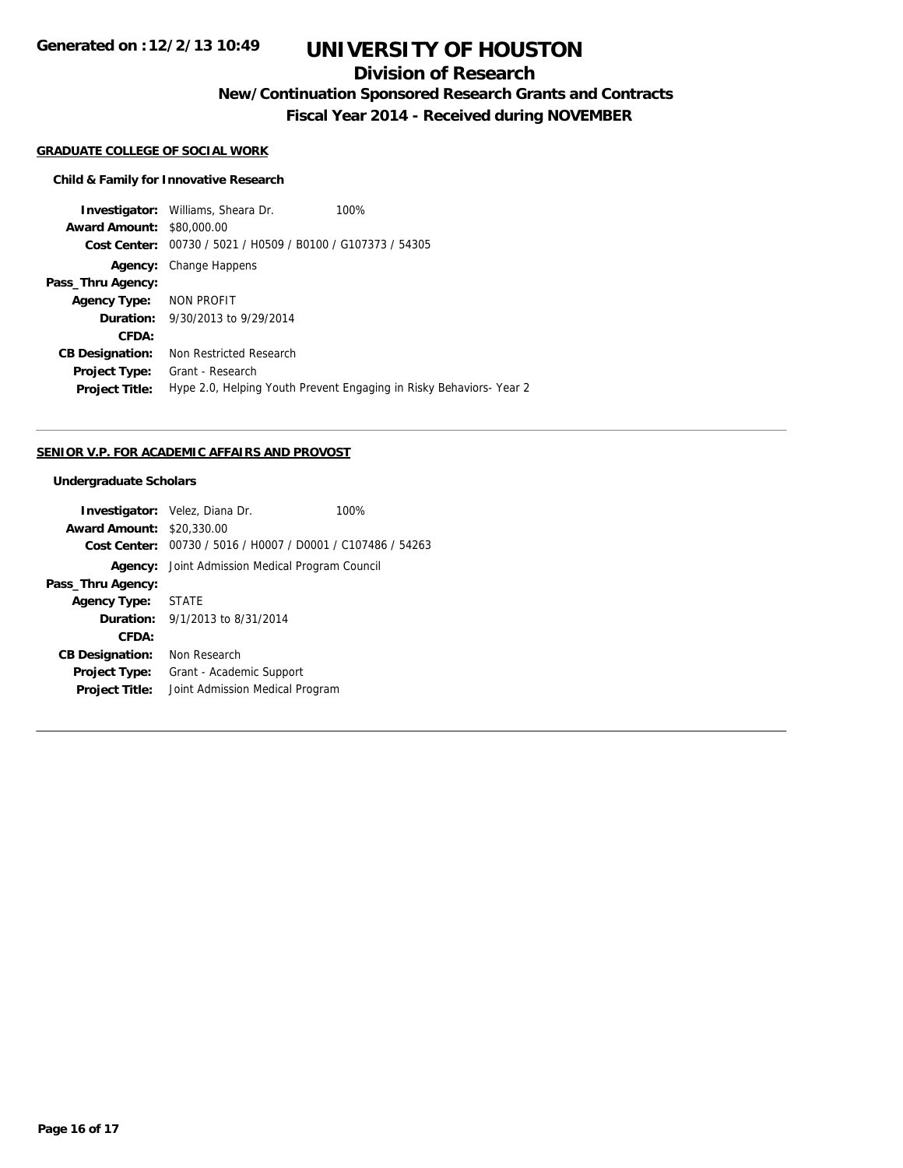## **Division of Research**

**New/Continuation Sponsored Research Grants and Contracts**

**Fiscal Year 2014 - Received during NOVEMBER**

#### **GRADUATE COLLEGE OF SOCIAL WORK**

#### **Child & Family for Innovative Research**

**Investigator:** Williams, Sheara Dr. 100% **Award Amount:** \$80,000.00 **Cost Center:** 00730 / 5021 / H0509 / B0100 / G107373 / 54305 **Agency:** Change Happens **Pass\_Thru Agency: Agency Type:** NON PROFIT **Duration:** 9/30/2013 to 9/29/2014 **CFDA: CB Designation:** Non Restricted Research **Project Type:** Grant - Research **Project Title:** Hype 2.0, Helping Youth Prevent Engaging in Risky Behaviors- Year 2

#### **SENIOR V.P. FOR ACADEMIC AFFAIRS AND PROVOST**

#### **Undergraduate Scholars**

|                                  | <b>Investigator:</b> Velez, Diana Dr.                       | 100% |  |
|----------------------------------|-------------------------------------------------------------|------|--|
| <b>Award Amount: \$20,330.00</b> |                                                             |      |  |
|                                  | Cost Center: 00730 / 5016 / H0007 / D0001 / C107486 / 54263 |      |  |
|                                  | <b>Agency:</b> Joint Admission Medical Program Council      |      |  |
| Pass_Thru Agency:                |                                                             |      |  |
| <b>Agency Type:</b>              | STATE                                                       |      |  |
|                                  | <b>Duration:</b> $9/1/2013$ to $8/31/2014$                  |      |  |
| CFDA:                            |                                                             |      |  |
| <b>CB Designation:</b>           | Non Research                                                |      |  |
| <b>Project Type:</b>             | Grant - Academic Support                                    |      |  |
| <b>Project Title:</b>            | Joint Admission Medical Program                             |      |  |
|                                  |                                                             |      |  |